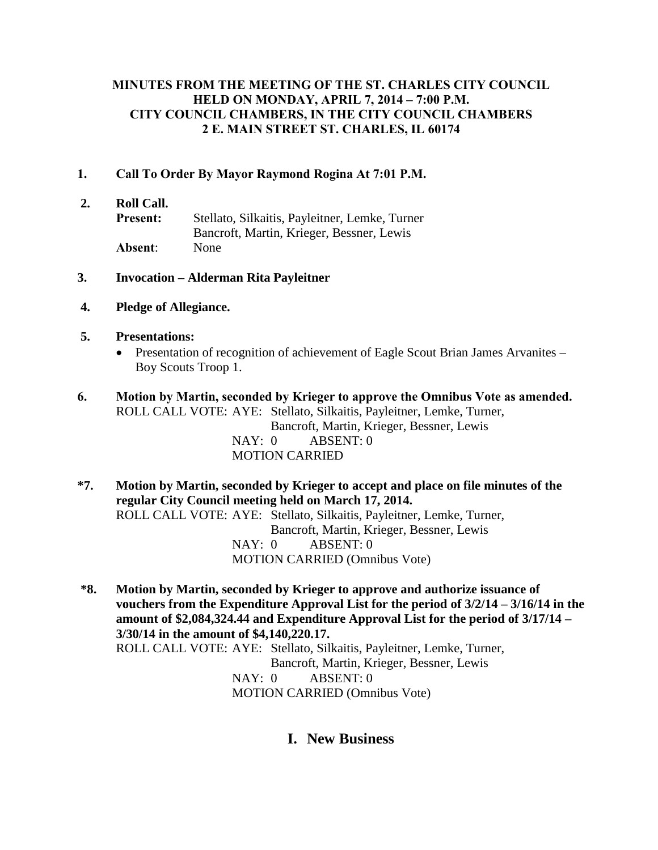# **MINUTES FROM THE MEETING OF THE ST. CHARLES CITY COUNCIL HELD ON MONDAY, APRIL 7, 2014 – 7:00 P.M. CITY COUNCIL CHAMBERS, IN THE CITY COUNCIL CHAMBERS 2 E. MAIN STREET ST. CHARLES, IL 60174**

# **1. Call To Order By Mayor Raymond Rogina At 7:01 P.M.**

- **2. Roll Call.**
	- **Present:** Stellato, Silkaitis, Payleitner, Lemke, Turner Bancroft, Martin, Krieger, Bessner, Lewis **Absent**: None

#### **3. Invocation – Alderman Rita Payleitner**

**4. Pledge of Allegiance.**

#### **5. Presentations:**

• Presentation of recognition of achievement of Eagle Scout Brian James Arvanites – Boy Scouts Troop 1.

# **6. Motion by Martin, seconded by Krieger to approve the Omnibus Vote as amended.** ROLL CALL VOTE: AYE: Stellato, Silkaitis, Payleitner, Lemke, Turner,

Bancroft, Martin, Krieger, Bessner, Lewis NAY: 0 ABSENT: 0 MOTION CARRIED

- **\*7. Motion by Martin, seconded by Krieger to accept and place on file minutes of the regular City Council meeting held on March 17, 2014.** ROLL CALL VOTE: AYE: Stellato, Silkaitis, Payleitner, Lemke, Turner, Bancroft, Martin, Krieger, Bessner, Lewis NAY: 0 ABSENT: 0 MOTION CARRIED (Omnibus Vote)
- **\*8. Motion by Martin, seconded by Krieger to approve and authorize issuance of vouchers from the Expenditure Approval List for the period of 3/2/14 – 3/16/14 in the amount of \$2,084,324.44 and Expenditure Approval List for the period of 3/17/14 – 3/30/14 in the amount of \$4,140,220.17.** ROLL CALL VOTE: AYE: Stellato, Silkaitis, Payleitner, Lemke, Turner, Bancroft, Martin, Krieger, Bessner, Lewis NAY: 0 ABSENT: 0 MOTION CARRIED (Omnibus Vote)

# **I. New Business**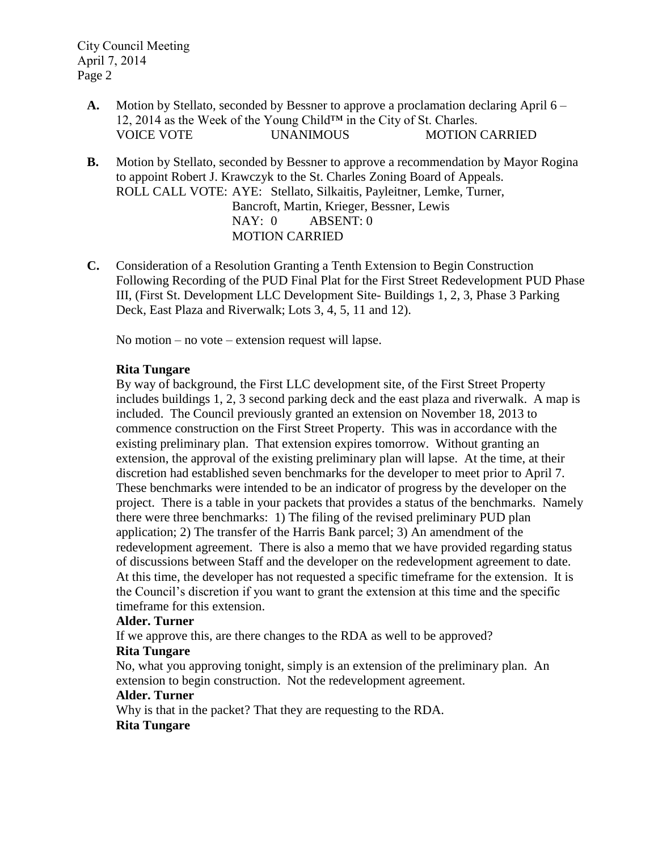- **A.** Motion by Stellato, seconded by Bessner to approve a proclamation declaring April 6 12, 2014 as the Week of the Young Child™ in the City of St. Charles. VOICE VOTE UNANIMOUS MOTION CARRIED
- **B.** Motion by Stellato, seconded by Bessner to approve a recommendation by Mayor Rogina to appoint Robert J. Krawczyk to the St. Charles Zoning Board of Appeals. ROLL CALL VOTE: AYE: Stellato, Silkaitis, Payleitner, Lemke, Turner, Bancroft, Martin, Krieger, Bessner, Lewis NAY: 0 ABSENT: 0 MOTION CARRIED
- **C.** Consideration of a Resolution Granting a Tenth Extension to Begin Construction Following Recording of the PUD Final Plat for the First Street Redevelopment PUD Phase III, (First St. Development LLC Development Site- Buildings 1, 2, 3, Phase 3 Parking Deck, East Plaza and Riverwalk; Lots 3, 4, 5, 11 and 12).

No motion – no vote – extension request will lapse.

# **Rita Tungare**

By way of background, the First LLC development site, of the First Street Property includes buildings 1, 2, 3 second parking deck and the east plaza and riverwalk. A map is included. The Council previously granted an extension on November 18, 2013 to commence construction on the First Street Property. This was in accordance with the existing preliminary plan. That extension expires tomorrow. Without granting an extension, the approval of the existing preliminary plan will lapse. At the time, at their discretion had established seven benchmarks for the developer to meet prior to April 7. These benchmarks were intended to be an indicator of progress by the developer on the project. There is a table in your packets that provides a status of the benchmarks. Namely there were three benchmarks: 1) The filing of the revised preliminary PUD plan application; 2) The transfer of the Harris Bank parcel; 3) An amendment of the redevelopment agreement. There is also a memo that we have provided regarding status of discussions between Staff and the developer on the redevelopment agreement to date. At this time, the developer has not requested a specific timeframe for the extension. It is the Council's discretion if you want to grant the extension at this time and the specific timeframe for this extension.

# **Alder. Turner**

If we approve this, are there changes to the RDA as well to be approved?

# **Rita Tungare**

No, what you approving tonight, simply is an extension of the preliminary plan. An extension to begin construction. Not the redevelopment agreement.

#### **Alder. Turner**

Why is that in the packet? That they are requesting to the RDA.

# **Rita Tungare**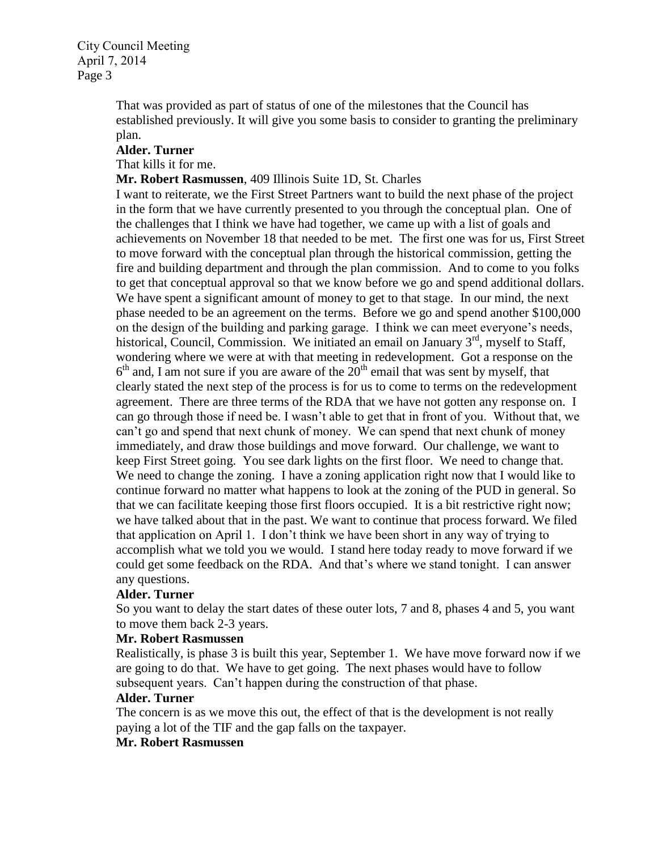> That was provided as part of status of one of the milestones that the Council has established previously. It will give you some basis to consider to granting the preliminary plan.

#### **Alder. Turner**

That kills it for me.

**Mr. Robert Rasmussen**, 409 Illinois Suite 1D, St. Charles

I want to reiterate, we the First Street Partners want to build the next phase of the project in the form that we have currently presented to you through the conceptual plan. One of the challenges that I think we have had together, we came up with a list of goals and achievements on November 18 that needed to be met. The first one was for us, First Street to move forward with the conceptual plan through the historical commission, getting the fire and building department and through the plan commission. And to come to you folks to get that conceptual approval so that we know before we go and spend additional dollars. We have spent a significant amount of money to get to that stage. In our mind, the next phase needed to be an agreement on the terms. Before we go and spend another \$100,000 on the design of the building and parking garage. I think we can meet everyone's needs, historical, Council, Commission. We initiated an email on January  $3<sup>rd</sup>$ , myself to Staff, wondering where we were at with that meeting in redevelopment. Got a response on the  $6<sup>th</sup>$  and, I am not sure if you are aware of the  $20<sup>th</sup>$  email that was sent by myself, that clearly stated the next step of the process is for us to come to terms on the redevelopment agreement. There are three terms of the RDA that we have not gotten any response on. I can go through those if need be. I wasn't able to get that in front of you. Without that, we can't go and spend that next chunk of money. We can spend that next chunk of money immediately, and draw those buildings and move forward. Our challenge, we want to keep First Street going. You see dark lights on the first floor. We need to change that. We need to change the zoning. I have a zoning application right now that I would like to continue forward no matter what happens to look at the zoning of the PUD in general. So that we can facilitate keeping those first floors occupied. It is a bit restrictive right now; we have talked about that in the past. We want to continue that process forward. We filed that application on April 1. I don't think we have been short in any way of trying to accomplish what we told you we would. I stand here today ready to move forward if we could get some feedback on the RDA. And that's where we stand tonight. I can answer any questions.

#### **Alder. Turner**

So you want to delay the start dates of these outer lots, 7 and 8, phases 4 and 5, you want to move them back 2-3 years.

### **Mr. Robert Rasmussen**

Realistically, is phase 3 is built this year, September 1. We have move forward now if we are going to do that. We have to get going. The next phases would have to follow subsequent years. Can't happen during the construction of that phase.

### **Alder. Turner**

The concern is as we move this out, the effect of that is the development is not really paying a lot of the TIF and the gap falls on the taxpayer.

# **Mr. Robert Rasmussen**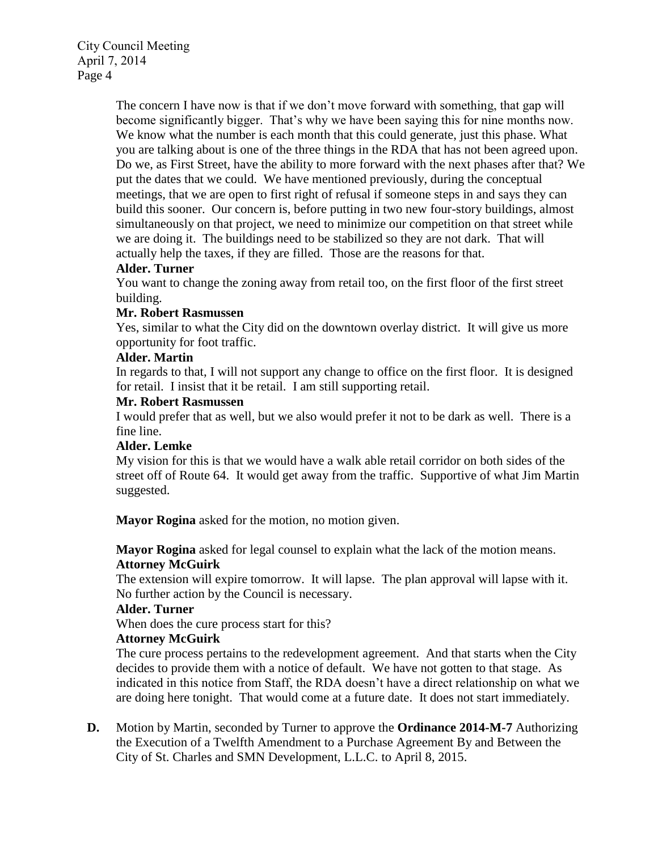> The concern I have now is that if we don't move forward with something, that gap will become significantly bigger. That's why we have been saying this for nine months now. We know what the number is each month that this could generate, just this phase. What you are talking about is one of the three things in the RDA that has not been agreed upon. Do we, as First Street, have the ability to more forward with the next phases after that? We put the dates that we could. We have mentioned previously, during the conceptual meetings, that we are open to first right of refusal if someone steps in and says they can build this sooner. Our concern is, before putting in two new four-story buildings, almost simultaneously on that project, we need to minimize our competition on that street while we are doing it. The buildings need to be stabilized so they are not dark. That will actually help the taxes, if they are filled. Those are the reasons for that.

# **Alder. Turner**

You want to change the zoning away from retail too, on the first floor of the first street building.

# **Mr. Robert Rasmussen**

Yes, similar to what the City did on the downtown overlay district. It will give us more opportunity for foot traffic.

# **Alder. Martin**

In regards to that, I will not support any change to office on the first floor. It is designed for retail. I insist that it be retail. I am still supporting retail.

# **Mr. Robert Rasmussen**

I would prefer that as well, but we also would prefer it not to be dark as well. There is a fine line.

# **Alder. Lemke**

My vision for this is that we would have a walk able retail corridor on both sides of the street off of Route 64. It would get away from the traffic. Supportive of what Jim Martin suggested.

**Mayor Rogina** asked for the motion, no motion given.

**Mayor Rogina** asked for legal counsel to explain what the lack of the motion means. **Attorney McGuirk** 

The extension will expire tomorrow. It will lapse. The plan approval will lapse with it. No further action by the Council is necessary.

# **Alder. Turner**

When does the cure process start for this?

# **Attorney McGuirk**

The cure process pertains to the redevelopment agreement. And that starts when the City decides to provide them with a notice of default. We have not gotten to that stage. As indicated in this notice from Staff, the RDA doesn't have a direct relationship on what we are doing here tonight. That would come at a future date. It does not start immediately.

**D.** Motion by Martin, seconded by Turner to approve the **Ordinance 2014-M-7** Authorizing the Execution of a Twelfth Amendment to a Purchase Agreement By and Between the City of St. Charles and SMN Development, L.L.C. to April 8, 2015.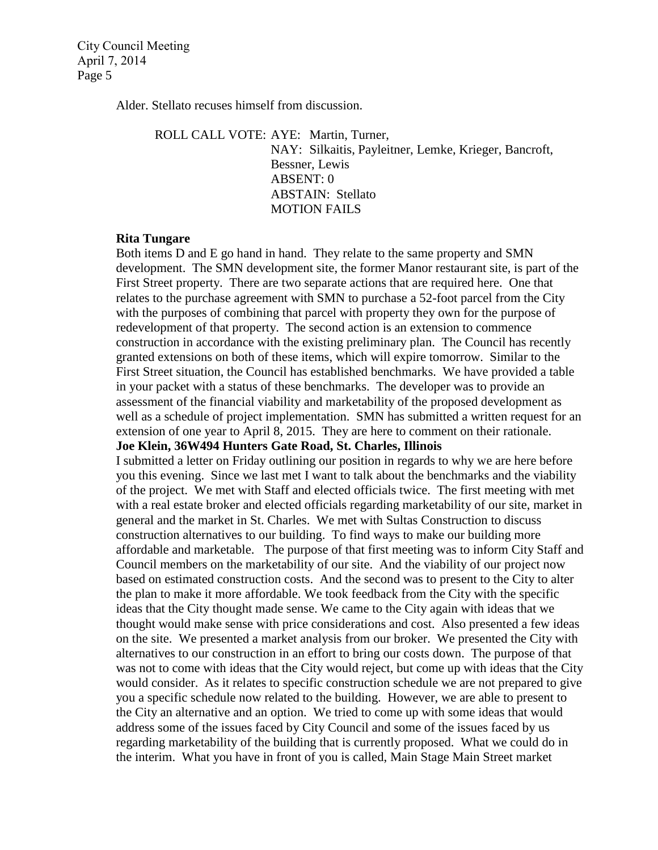Alder. Stellato recuses himself from discussion.

ROLL CALL VOTE: AYE: Martin, Turner,

NAY: Silkaitis, Payleitner, Lemke, Krieger, Bancroft, Bessner, Lewis ABSENT: 0 ABSTAIN: Stellato MOTION FAILS

# **Rita Tungare**

Both items D and E go hand in hand. They relate to the same property and SMN development. The SMN development site, the former Manor restaurant site, is part of the First Street property. There are two separate actions that are required here. One that relates to the purchase agreement with SMN to purchase a 52-foot parcel from the City with the purposes of combining that parcel with property they own for the purpose of redevelopment of that property. The second action is an extension to commence construction in accordance with the existing preliminary plan. The Council has recently granted extensions on both of these items, which will expire tomorrow. Similar to the First Street situation, the Council has established benchmarks. We have provided a table in your packet with a status of these benchmarks. The developer was to provide an assessment of the financial viability and marketability of the proposed development as well as a schedule of project implementation. SMN has submitted a written request for an extension of one year to April 8, 2015. They are here to comment on their rationale.

### **Joe Klein, 36W494 Hunters Gate Road, St. Charles, Illinois**

I submitted a letter on Friday outlining our position in regards to why we are here before you this evening. Since we last met I want to talk about the benchmarks and the viability of the project. We met with Staff and elected officials twice. The first meeting with met with a real estate broker and elected officials regarding marketability of our site, market in general and the market in St. Charles. We met with Sultas Construction to discuss construction alternatives to our building. To find ways to make our building more affordable and marketable. The purpose of that first meeting was to inform City Staff and Council members on the marketability of our site. And the viability of our project now based on estimated construction costs. And the second was to present to the City to alter the plan to make it more affordable. We took feedback from the City with the specific ideas that the City thought made sense. We came to the City again with ideas that we thought would make sense with price considerations and cost. Also presented a few ideas on the site. We presented a market analysis from our broker. We presented the City with alternatives to our construction in an effort to bring our costs down. The purpose of that was not to come with ideas that the City would reject, but come up with ideas that the City would consider. As it relates to specific construction schedule we are not prepared to give you a specific schedule now related to the building. However, we are able to present to the City an alternative and an option. We tried to come up with some ideas that would address some of the issues faced by City Council and some of the issues faced by us regarding marketability of the building that is currently proposed. What we could do in the interim. What you have in front of you is called, Main Stage Main Street market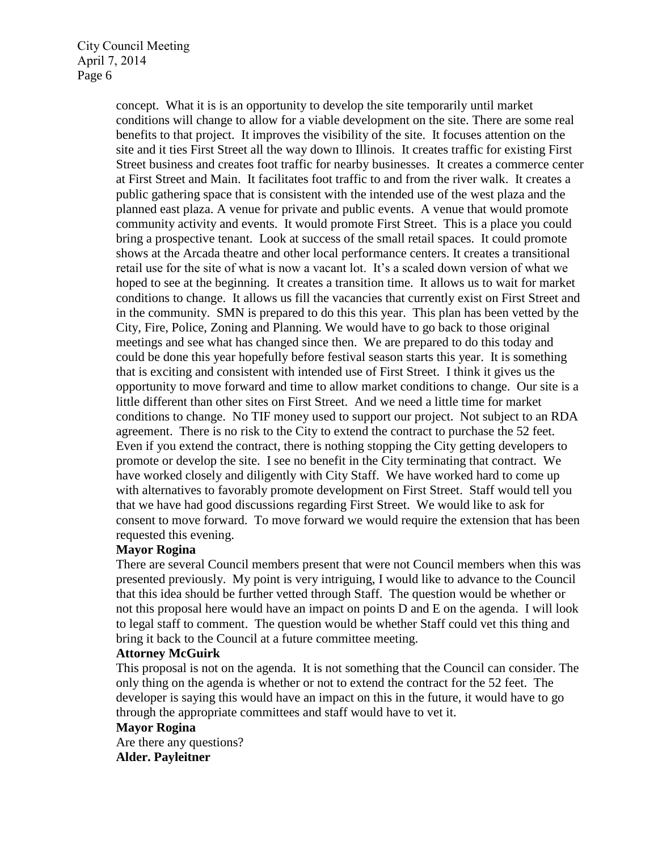> concept. What it is is an opportunity to develop the site temporarily until market conditions will change to allow for a viable development on the site. There are some real benefits to that project. It improves the visibility of the site. It focuses attention on the site and it ties First Street all the way down to Illinois. It creates traffic for existing First Street business and creates foot traffic for nearby businesses. It creates a commerce center at First Street and Main. It facilitates foot traffic to and from the river walk. It creates a public gathering space that is consistent with the intended use of the west plaza and the planned east plaza. A venue for private and public events. A venue that would promote community activity and events. It would promote First Street. This is a place you could bring a prospective tenant. Look at success of the small retail spaces. It could promote shows at the Arcada theatre and other local performance centers. It creates a transitional retail use for the site of what is now a vacant lot. It's a scaled down version of what we hoped to see at the beginning. It creates a transition time. It allows us to wait for market conditions to change. It allows us fill the vacancies that currently exist on First Street and in the community. SMN is prepared to do this this year. This plan has been vetted by the City, Fire, Police, Zoning and Planning. We would have to go back to those original meetings and see what has changed since then. We are prepared to do this today and could be done this year hopefully before festival season starts this year. It is something that is exciting and consistent with intended use of First Street. I think it gives us the opportunity to move forward and time to allow market conditions to change. Our site is a little different than other sites on First Street. And we need a little time for market conditions to change. No TIF money used to support our project. Not subject to an RDA agreement. There is no risk to the City to extend the contract to purchase the 52 feet. Even if you extend the contract, there is nothing stopping the City getting developers to promote or develop the site. I see no benefit in the City terminating that contract. We have worked closely and diligently with City Staff. We have worked hard to come up with alternatives to favorably promote development on First Street. Staff would tell you that we have had good discussions regarding First Street. We would like to ask for consent to move forward. To move forward we would require the extension that has been requested this evening.

# **Mayor Rogina**

There are several Council members present that were not Council members when this was presented previously. My point is very intriguing, I would like to advance to the Council that this idea should be further vetted through Staff. The question would be whether or not this proposal here would have an impact on points D and E on the agenda. I will look to legal staff to comment. The question would be whether Staff could vet this thing and bring it back to the Council at a future committee meeting.

#### **Attorney McGuirk**

This proposal is not on the agenda. It is not something that the Council can consider. The only thing on the agenda is whether or not to extend the contract for the 52 feet. The developer is saying this would have an impact on this in the future, it would have to go through the appropriate committees and staff would have to vet it.

### **Mayor Rogina**

Are there any questions? **Alder. Payleitner**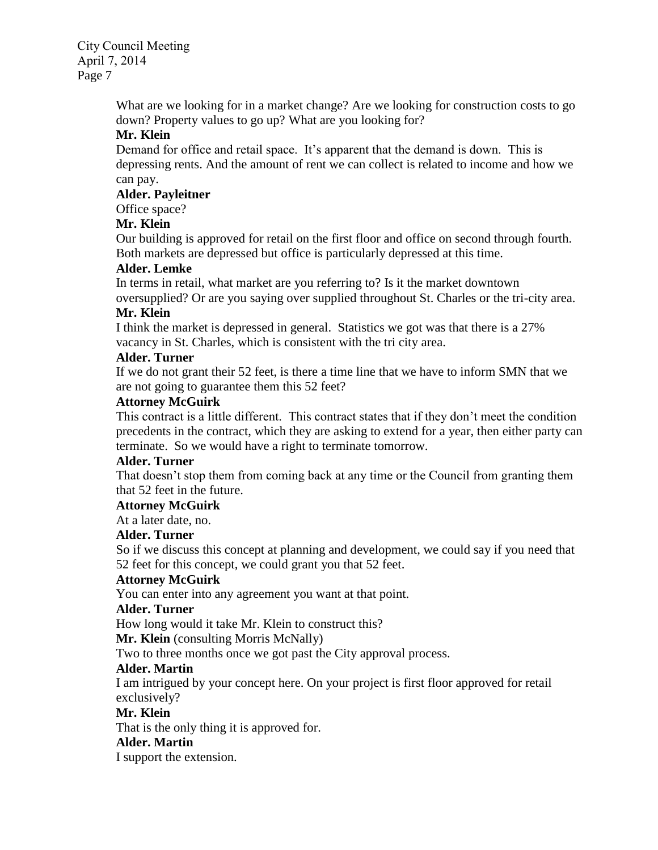> What are we looking for in a market change? Are we looking for construction costs to go down? Property values to go up? What are you looking for?

# **Mr. Klein**

Demand for office and retail space. It's apparent that the demand is down. This is depressing rents. And the amount of rent we can collect is related to income and how we can pay.

# **Alder. Payleitner**

Office space?

# **Mr. Klein**

Our building is approved for retail on the first floor and office on second through fourth. Both markets are depressed but office is particularly depressed at this time.

# **Alder. Lemke**

In terms in retail, what market are you referring to? Is it the market downtown oversupplied? Or are you saying over supplied throughout St. Charles or the tri-city area.

# **Mr. Klein**

I think the market is depressed in general. Statistics we got was that there is a 27% vacancy in St. Charles, which is consistent with the tri city area.

# **Alder. Turner**

If we do not grant their 52 feet, is there a time line that we have to inform SMN that we are not going to guarantee them this 52 feet?

# **Attorney McGuirk**

This contract is a little different. This contract states that if they don't meet the condition precedents in the contract, which they are asking to extend for a year, then either party can terminate. So we would have a right to terminate tomorrow.

# **Alder. Turner**

That doesn't stop them from coming back at any time or the Council from granting them that 52 feet in the future.

# **Attorney McGuirk**

At a later date, no.

# **Alder. Turner**

So if we discuss this concept at planning and development, we could say if you need that 52 feet for this concept, we could grant you that 52 feet.

# **Attorney McGuirk**

You can enter into any agreement you want at that point.

# **Alder. Turner**

How long would it take Mr. Klein to construct this?

**Mr. Klein** (consulting Morris McNally)

Two to three months once we got past the City approval process.

# **Alder. Martin**

I am intrigued by your concept here. On your project is first floor approved for retail exclusively?

# **Mr. Klein**

That is the only thing it is approved for.

# **Alder. Martin**

I support the extension.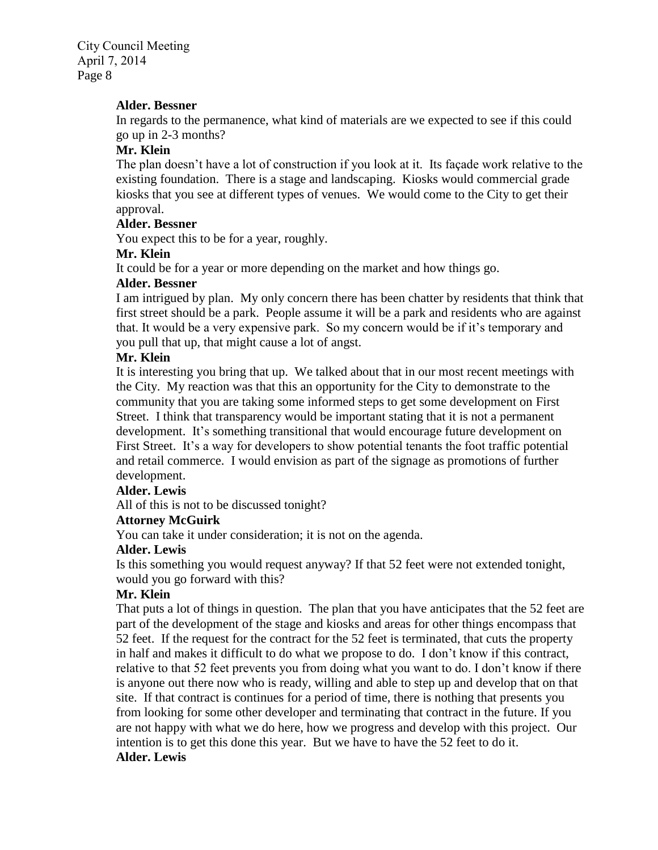### **Alder. Bessner**

In regards to the permanence, what kind of materials are we expected to see if this could go up in 2-3 months?

# **Mr. Klein**

The plan doesn't have a lot of construction if you look at it. Its façade work relative to the existing foundation. There is a stage and landscaping. Kiosks would commercial grade kiosks that you see at different types of venues. We would come to the City to get their approval.

#### **Alder. Bessner**

You expect this to be for a year, roughly.

#### **Mr. Klein**

It could be for a year or more depending on the market and how things go.

#### **Alder. Bessner**

I am intrigued by plan. My only concern there has been chatter by residents that think that first street should be a park. People assume it will be a park and residents who are against that. It would be a very expensive park. So my concern would be if it's temporary and you pull that up, that might cause a lot of angst.

### **Mr. Klein**

It is interesting you bring that up. We talked about that in our most recent meetings with the City. My reaction was that this an opportunity for the City to demonstrate to the community that you are taking some informed steps to get some development on First Street. I think that transparency would be important stating that it is not a permanent development. It's something transitional that would encourage future development on First Street. It's a way for developers to show potential tenants the foot traffic potential and retail commerce. I would envision as part of the signage as promotions of further development.

# **Alder. Lewis**

All of this is not to be discussed tonight?

# **Attorney McGuirk**

You can take it under consideration; it is not on the agenda.

#### **Alder. Lewis**

Is this something you would request anyway? If that 52 feet were not extended tonight, would you go forward with this?

# **Mr. Klein**

That puts a lot of things in question. The plan that you have anticipates that the 52 feet are part of the development of the stage and kiosks and areas for other things encompass that 52 feet. If the request for the contract for the 52 feet is terminated, that cuts the property in half and makes it difficult to do what we propose to do. I don't know if this contract, relative to that 52 feet prevents you from doing what you want to do. I don't know if there is anyone out there now who is ready, willing and able to step up and develop that on that site. If that contract is continues for a period of time, there is nothing that presents you from looking for some other developer and terminating that contract in the future. If you are not happy with what we do here, how we progress and develop with this project. Our intention is to get this done this year. But we have to have the 52 feet to do it. **Alder. Lewis**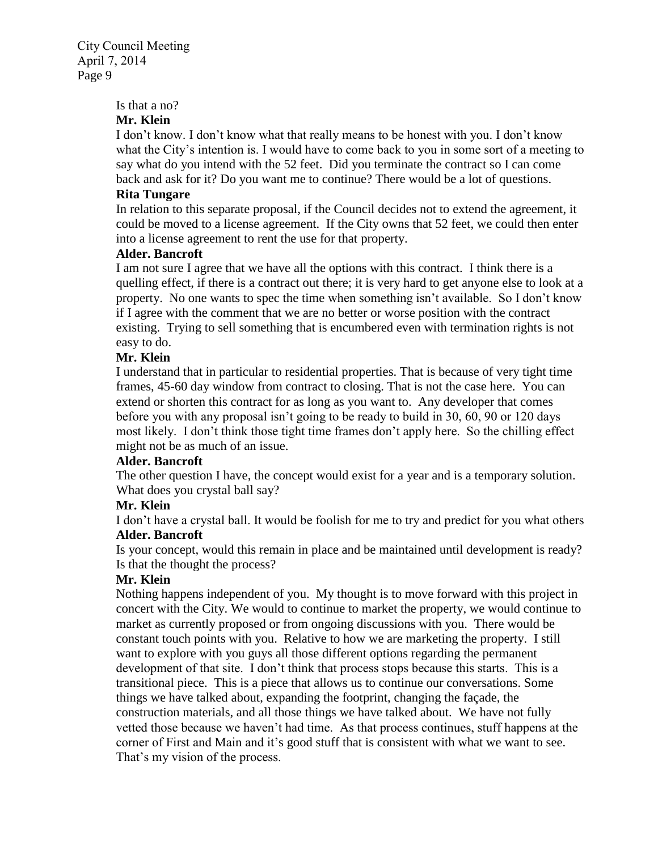#### Is that a no?

# **Mr. Klein**

I don't know. I don't know what that really means to be honest with you. I don't know what the City's intention is. I would have to come back to you in some sort of a meeting to say what do you intend with the 52 feet. Did you terminate the contract so I can come back and ask for it? Do you want me to continue? There would be a lot of questions.

# **Rita Tungare**

In relation to this separate proposal, if the Council decides not to extend the agreement, it could be moved to a license agreement. If the City owns that 52 feet, we could then enter into a license agreement to rent the use for that property.

# **Alder. Bancroft**

I am not sure I agree that we have all the options with this contract. I think there is a quelling effect, if there is a contract out there; it is very hard to get anyone else to look at a property. No one wants to spec the time when something isn't available. So I don't know if I agree with the comment that we are no better or worse position with the contract existing. Trying to sell something that is encumbered even with termination rights is not easy to do.

# **Mr. Klein**

I understand that in particular to residential properties. That is because of very tight time frames, 45-60 day window from contract to closing. That is not the case here. You can extend or shorten this contract for as long as you want to. Any developer that comes before you with any proposal isn't going to be ready to build in 30, 60, 90 or 120 days most likely. I don't think those tight time frames don't apply here. So the chilling effect might not be as much of an issue.

# **Alder. Bancroft**

The other question I have, the concept would exist for a year and is a temporary solution. What does you crystal ball say?

# **Mr. Klein**

I don't have a crystal ball. It would be foolish for me to try and predict for you what others **Alder. Bancroft**

Is your concept, would this remain in place and be maintained until development is ready? Is that the thought the process?

# **Mr. Klein**

Nothing happens independent of you. My thought is to move forward with this project in concert with the City. We would to continue to market the property, we would continue to market as currently proposed or from ongoing discussions with you. There would be constant touch points with you. Relative to how we are marketing the property. I still want to explore with you guys all those different options regarding the permanent development of that site. I don't think that process stops because this starts. This is a transitional piece. This is a piece that allows us to continue our conversations. Some things we have talked about, expanding the footprint, changing the façade, the construction materials, and all those things we have talked about. We have not fully vetted those because we haven't had time. As that process continues, stuff happens at the corner of First and Main and it's good stuff that is consistent with what we want to see. That's my vision of the process.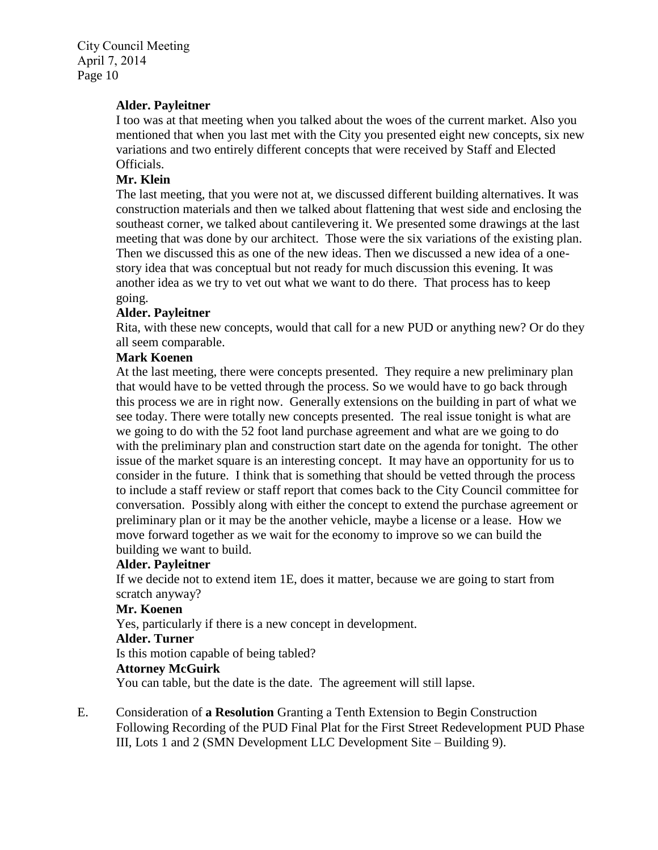### **Alder. Payleitner**

I too was at that meeting when you talked about the woes of the current market. Also you mentioned that when you last met with the City you presented eight new concepts, six new variations and two entirely different concepts that were received by Staff and Elected Officials.

### **Mr. Klein**

The last meeting, that you were not at, we discussed different building alternatives. It was construction materials and then we talked about flattening that west side and enclosing the southeast corner, we talked about cantilevering it. We presented some drawings at the last meeting that was done by our architect. Those were the six variations of the existing plan. Then we discussed this as one of the new ideas. Then we discussed a new idea of a onestory idea that was conceptual but not ready for much discussion this evening. It was another idea as we try to vet out what we want to do there. That process has to keep going.

#### **Alder. Payleitner**

Rita, with these new concepts, would that call for a new PUD or anything new? Or do they all seem comparable.

# **Mark Koenen**

At the last meeting, there were concepts presented. They require a new preliminary plan that would have to be vetted through the process. So we would have to go back through this process we are in right now. Generally extensions on the building in part of what we see today. There were totally new concepts presented. The real issue tonight is what are we going to do with the 52 foot land purchase agreement and what are we going to do with the preliminary plan and construction start date on the agenda for tonight. The other issue of the market square is an interesting concept. It may have an opportunity for us to consider in the future. I think that is something that should be vetted through the process to include a staff review or staff report that comes back to the City Council committee for conversation. Possibly along with either the concept to extend the purchase agreement or preliminary plan or it may be the another vehicle, maybe a license or a lease. How we move forward together as we wait for the economy to improve so we can build the building we want to build.

#### **Alder. Payleitner**

If we decide not to extend item 1E, does it matter, because we are going to start from scratch anyway?

#### **Mr. Koenen**

Yes, particularly if there is a new concept in development.

#### **Alder. Turner**

Is this motion capable of being tabled?

# **Attorney McGuirk**

You can table, but the date is the date. The agreement will still lapse.

E. Consideration of **a Resolution** Granting a Tenth Extension to Begin Construction Following Recording of the PUD Final Plat for the First Street Redevelopment PUD Phase III, Lots 1 and 2 (SMN Development LLC Development Site – Building 9).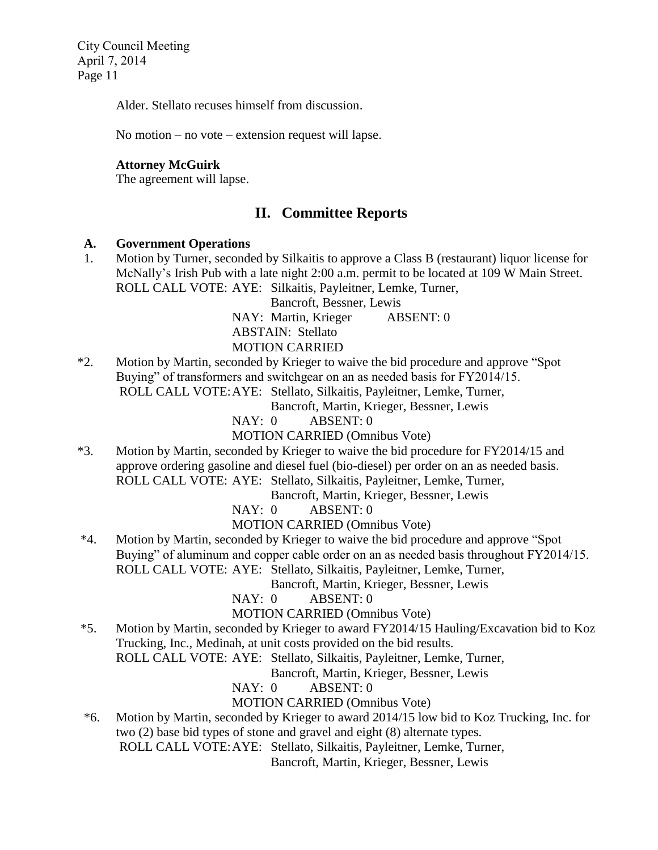Alder. Stellato recuses himself from discussion.

No motion – no vote – extension request will lapse.

# **Attorney McGuirk**

The agreement will lapse.

# **II. Committee Reports**

#### **A. Government Operations**

1. Motion by Turner, seconded by Silkaitis to approve a Class B (restaurant) liquor license for McNally's Irish Pub with a late night 2:00 a.m. permit to be located at 109 W Main Street. ROLL CALL VOTE: AYE: Silkaitis, Payleitner, Lemke, Turner,

Bancroft, Bessner, Lewis

NAY: Martin, Krieger ABSENT: 0 ABSTAIN: Stellato

# MOTION CARRIED

\*2. Motion by Martin, seconded by Krieger to waive the bid procedure and approve "Spot Buying" of transformers and switchgear on an as needed basis for FY2014/15. ROLL CALL VOTE:AYE: Stellato, Silkaitis, Payleitner, Lemke, Turner,

Bancroft, Martin, Krieger, Bessner, Lewis

NAY: 0 ABSENT: 0

MOTION CARRIED (Omnibus Vote)

\*3. Motion by Martin, seconded by Krieger to waive the bid procedure for FY2014/15 and approve ordering gasoline and diesel fuel (bio-diesel) per order on an as needed basis. ROLL CALL VOTE: AYE: Stellato, Silkaitis, Payleitner, Lemke, Turner,

Bancroft, Martin, Krieger, Bessner, Lewis

NAY: 0 ABSENT: 0

MOTION CARRIED (Omnibus Vote)

\*4. Motion by Martin, seconded by Krieger to waive the bid procedure and approve "Spot Buying" of aluminum and copper cable order on an as needed basis throughout FY2014/15. ROLL CALL VOTE: AYE: Stellato, Silkaitis, Payleitner, Lemke, Turner,

Bancroft, Martin, Krieger, Bessner, Lewis

NAY: 0 ABSENT: 0

MOTION CARRIED (Omnibus Vote)

\*5. Motion by Martin, seconded by Krieger to award FY2014/15 Hauling/Excavation bid to Koz Trucking, Inc., Medinah, at unit costs provided on the bid results.

ROLL CALL VOTE: AYE: Stellato, Silkaitis, Payleitner, Lemke, Turner,

Bancroft, Martin, Krieger, Bessner, Lewis

NAY: 0 ABSENT: 0

# MOTION CARRIED (Omnibus Vote)

 \*6. Motion by Martin, seconded by Krieger to award 2014/15 low bid to Koz Trucking, Inc. for two (2) base bid types of stone and gravel and eight (8) alternate types. ROLL CALL VOTE:AYE: Stellato, Silkaitis, Payleitner, Lemke, Turner,

Bancroft, Martin, Krieger, Bessner, Lewis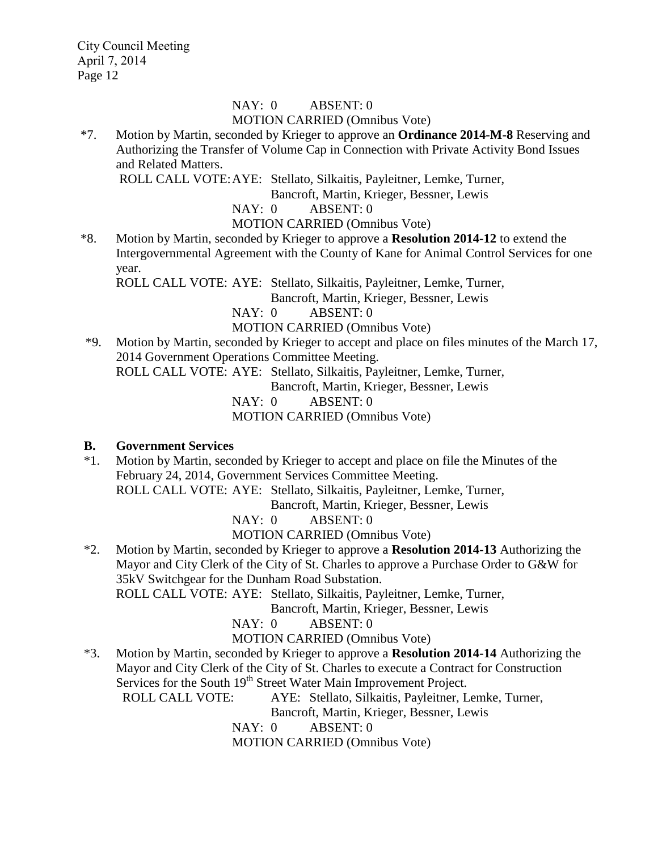# NAY: 0 ABSENT: 0 MOTION CARRIED (Omnibus Vote)

\*7. Motion by Martin, seconded by Krieger to approve an **Ordinance 2014-M-8** Reserving and Authorizing the Transfer of Volume Cap in Connection with Private Activity Bond Issues and Related Matters.

ROLL CALL VOTE:AYE: Stellato, Silkaitis, Payleitner, Lemke, Turner,

Bancroft, Martin, Krieger, Bessner, Lewis

# NAY: 0 ABSENT: 0

- MOTION CARRIED (Omnibus Vote)
- \*8. Motion by Martin, seconded by Krieger to approve a **Resolution 2014-12** to extend the Intergovernmental Agreement with the County of Kane for Animal Control Services for one year.

ROLL CALL VOTE: AYE: Stellato, Silkaitis, Payleitner, Lemke, Turner,

Bancroft, Martin, Krieger, Bessner, Lewis

# NAY: 0 ABSENT: 0

- MOTION CARRIED (Omnibus Vote)
- \*9. Motion by Martin, seconded by Krieger to accept and place on files minutes of the March 17, 2014 Government Operations Committee Meeting. ROLL CALL VOTE: AYE: Stellato, Silkaitis, Payleitner, Lemke, Turner,

Bancroft, Martin, Krieger, Bessner, Lewis

NAY: 0 ABSENT: 0

MOTION CARRIED (Omnibus Vote)

# **B. Government Services**

 \*1. Motion by Martin, seconded by Krieger to accept and place on file the Minutes of the February 24, 2014, Government Services Committee Meeting. ROLL CALL VOTE: AYE: Stellato, Silkaitis, Payleitner, Lemke, Turner,

Bancroft, Martin, Krieger, Bessner, Lewis

NAY: 0 ABSENT: 0

MOTION CARRIED (Omnibus Vote)

 \*2. Motion by Martin, seconded by Krieger to approve a **Resolution 2014-13** Authorizing the Mayor and City Clerk of the City of St. Charles to approve a Purchase Order to G&W for 35kV Switchgear for the Dunham Road Substation.

ROLL CALL VOTE: AYE: Stellato, Silkaitis, Payleitner, Lemke, Turner,

Bancroft, Martin, Krieger, Bessner, Lewis

NAY: 0 ABSENT: 0

MOTION CARRIED (Omnibus Vote)

 \*3. Motion by Martin, seconded by Krieger to approve a **Resolution 2014-14** Authorizing the Mayor and City Clerk of the City of St. Charles to execute a Contract for Construction Services for the South 19<sup>th</sup> Street Water Main Improvement Project.

ROLL CALL VOTE: AYE: Stellato, Silkaitis, Payleitner, Lemke, Turner,

Bancroft, Martin, Krieger, Bessner, Lewis

NAY: 0 ABSENT: 0

MOTION CARRIED (Omnibus Vote)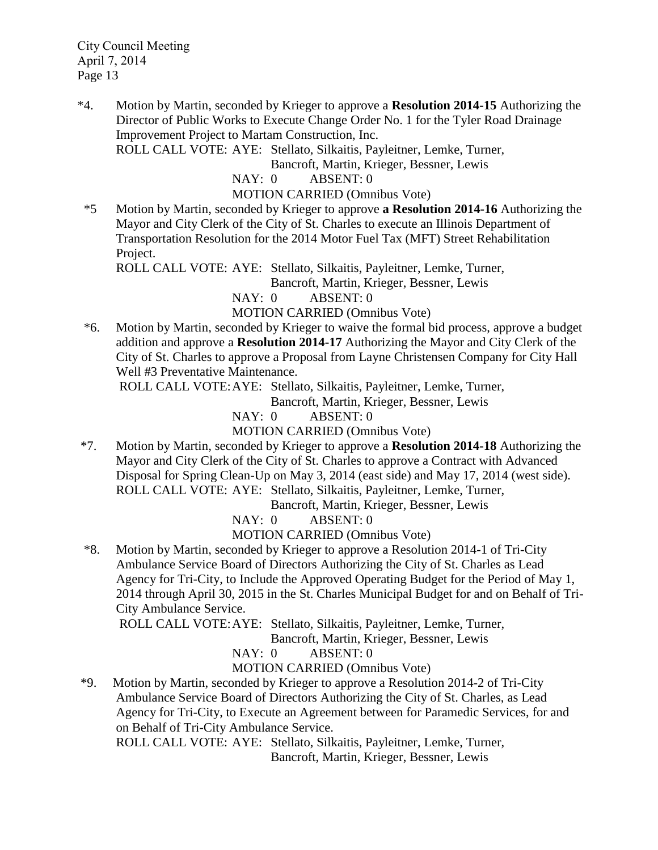\*4. Motion by Martin, seconded by Krieger to approve a **Resolution 2014-15** Authorizing the Director of Public Works to Execute Change Order No. 1 for the Tyler Road Drainage Improvement Project to Martam Construction, Inc.

ROLL CALL VOTE: AYE: Stellato, Silkaitis, Payleitner, Lemke, Turner,

Bancroft, Martin, Krieger, Bessner, Lewis

NAY: 0 ABSENT: 0

MOTION CARRIED (Omnibus Vote)

 \*5 Motion by Martin, seconded by Krieger to approve **a Resolution 2014-16** Authorizing the Mayor and City Clerk of the City of St. Charles to execute an Illinois Department of Transportation Resolution for the 2014 Motor Fuel Tax (MFT) Street Rehabilitation Project.

ROLL CALL VOTE: AYE: Stellato, Silkaitis, Payleitner, Lemke, Turner,

Bancroft, Martin, Krieger, Bessner, Lewis

NAY: 0 ABSENT: 0

MOTION CARRIED (Omnibus Vote)

 \*6. Motion by Martin, seconded by Krieger to waive the formal bid process, approve a budget addition and approve a **Resolution 2014-17** Authorizing the Mayor and City Clerk of the City of St. Charles to approve a Proposal from Layne Christensen Company for City Hall Well #3 Preventative Maintenance.

ROLL CALL VOTE:AYE: Stellato, Silkaitis, Payleitner, Lemke, Turner,

Bancroft, Martin, Krieger, Bessner, Lewis

NAY: 0 ABSENT: 0

MOTION CARRIED (Omnibus Vote)

\*7. Motion by Martin, seconded by Krieger to approve a **Resolution 2014-18** Authorizing the Mayor and City Clerk of the City of St. Charles to approve a Contract with Advanced Disposal for Spring Clean-Up on May 3, 2014 (east side) and May 17, 2014 (west side). ROLL CALL VOTE: AYE: Stellato, Silkaitis, Payleitner, Lemke, Turner,

Bancroft, Martin, Krieger, Bessner, Lewis

NAY: 0 ABSENT: 0

MOTION CARRIED (Omnibus Vote)

 \*8. Motion by Martin, seconded by Krieger to approve a Resolution 2014-1 of Tri-City Ambulance Service Board of Directors Authorizing the City of St. Charles as Lead Agency for Tri-City, to Include the Approved Operating Budget for the Period of May 1, 2014 through April 30, 2015 in the St. Charles Municipal Budget for and on Behalf of Tri-City Ambulance Service.

ROLL CALL VOTE:AYE: Stellato, Silkaitis, Payleitner, Lemke, Turner,

Bancroft, Martin, Krieger, Bessner, Lewis

NAY: 0 ABSENT: 0

MOTION CARRIED (Omnibus Vote)

\*9. Motion by Martin, seconded by Krieger to approve a Resolution 2014-2 of Tri-City Ambulance Service Board of Directors Authorizing the City of St. Charles, as Lead Agency for Tri-City, to Execute an Agreement between for Paramedic Services, for and on Behalf of Tri-City Ambulance Service.

ROLL CALL VOTE: AYE: Stellato, Silkaitis, Payleitner, Lemke, Turner, Bancroft, Martin, Krieger, Bessner, Lewis